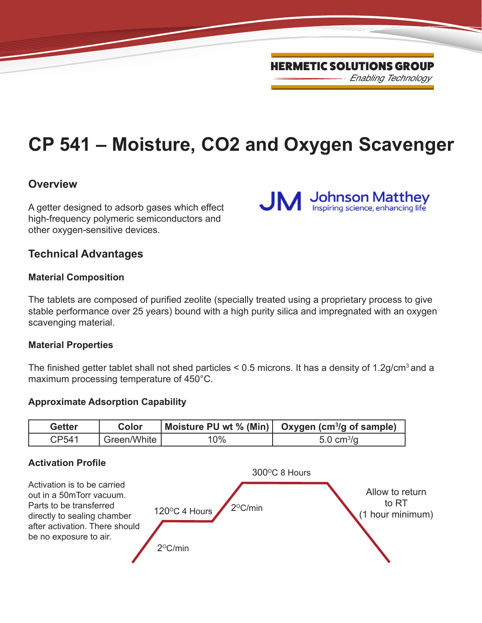**Johnson Matthey**<br>Inspiring science, enhancing life

**CP 541 – Moisture, CO2 and Oxygen Scavenger**

**JM** 

# **Overview**

A getter designed to adsorb gases which effect high-frequency polymeric semiconductors and other oxygen-sensitive devices.

# **Technical Advantages**

# **Material Composition**

The tablets are composed of purified zeolite (specially treated using a proprietary process to give stable performance over 25 years) bound with a high purity silica and impregnated with an oxygen scavenging material.

#### **Material Properties**

The finished getter tablet shall not shed particles  $\leq$  0.5 microns. It has a density of 1.2g/cm<sup>3</sup> and a maximum processing temperature of 450°C.

# **Approximate Adsorption Capability**



# **Activation Profile**